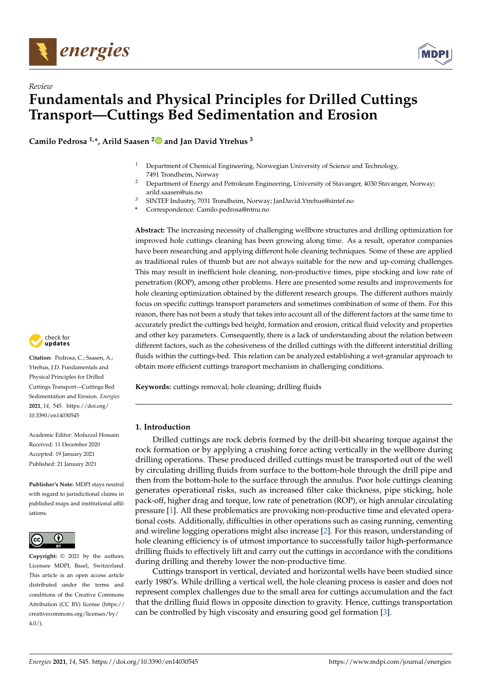



# *Review* **Fundamentals and Physical Principles for Drilled Cuttings Transport—Cuttings Bed Sedimentation and Erosion**

**Camilo Pedrosa 1,\*, Arild Saasen [2](https://orcid.org/0000-0002-6428-4976) and Jan David Ytrehus <sup>3</sup>**

- <sup>1</sup> Department of Chemical Engineering, Norwegian University of Science and Technology, 7491 Trondheim, Norway
- <sup>2</sup> Department of Energy and Petroleum Engineering, University of Stavanger, 4030 Stavanger, Norway; arild.saasen@uis.no
- <sup>3</sup> SINTEF Industry, 7031 Trondheim, Norway; JanDavid.Ytrehus@sintef.no
- **\*** Correspondence: Camilo.pedrosa@ntnu.no

**Abstract:** The increasing necessity of challenging wellbore structures and drilling optimization for improved hole cuttings cleaning has been growing along time. As a result, operator companies have been researching and applying different hole cleaning techniques. Some of these are applied as traditional rules of thumb but are not always suitable for the new and up-coming challenges. This may result in inefficient hole cleaning, non-productive times, pipe stocking and low rate of penetration (ROP), among other problems. Here are presented some results and improvements for hole cleaning optimization obtained by the different research groups. The different authors mainly focus on specific cuttings transport parameters and sometimes combination of some of them. For this reason, there has not been a study that takes into account all of the different factors at the same time to accurately predict the cuttings bed height, formation and erosion, critical fluid velocity and properties and other key parameters. Consequently, there is a lack of understanding about the relation between different factors, such as the cohesiveness of the drilled cuttings with the different interstitial drilling fluids within the cuttings-bed. This relation can be analyzed establishing a wet-granular approach to obtain more efficient cuttings transport mechanism in challenging conditions.

**Keywords:** cuttings removal; hole cleaning; drilling fluids

# **1. Introduction**

Drilled cuttings are rock debris formed by the drill-bit shearing torque against the rock formation or by applying a crushing force acting vertically in the wellbore during drilling operations. These produced drilled cuttings must be transported out of the well by circulating drilling fluids from surface to the bottom-hole through the drill pipe and then from the bottom-hole to the surface through the annulus. Poor hole cuttings cleaning generates operational risks, such as increased filter cake thickness, pipe sticking, hole pack-off, higher drag and torque, low rate of penetration (ROP), or high annular circulating pressure [\[1\]](#page-9-0). All these problematics are provoking non-productive time and elevated operational costs. Additionally, difficulties in other operations such as casing running, cementing and wireline logging operations might also increase [\[2\]](#page-9-1). For this reason, understanding of hole cleaning efficiency is of utmost importance to successfully tailor high-performance drilling fluids to effectively lift and carry out the cuttings in accordance with the conditions during drilling and thereby lower the non-productive time.

Cuttings transport in vertical, deviated and horizontal wells have been studied since early 1980's. While drilling a vertical well, the hole cleaning process is easier and does not represent complex challenges due to the small area for cuttings accumulation and the fact that the drilling fluid flows in opposite direction to gravity. Hence, cuttings transportation can be controlled by high viscosity and ensuring good gel formation [\[3\]](#page-9-2).



**Citation:** Pedrosa, C.; Saasen, A.; Ytrehus, J.D. Fundamentals and Physical Principles for Drilled Cuttings Transport—Cuttings Bed Sedimentation and Erosion. *Energies* **2021**, *14*, 545. [https://doi.org/](https://doi.org/10.3390/en14030545) [10.3390/en14030545](https://doi.org/10.3390/en14030545)

Academic Editor: Mofazzal Hossain Received: 11 December 2020 Accepted: 19 January 2021 Published: 21 January 2021

**Publisher's Note:** MDPI stays neutral with regard to jurisdictional claims in published maps and institutional affiliations.



**Copyright:** © 2021 by the authors. Licensee MDPI, Basel, Switzerland. This article is an open access article distributed under the terms and conditions of the Creative Commons Attribution (CC BY) license (https:/[/](https://creativecommons.org/licenses/by/4.0/) [creativecommons.org/licenses/by/](https://creativecommons.org/licenses/by/4.0/)  $4.0/$ ).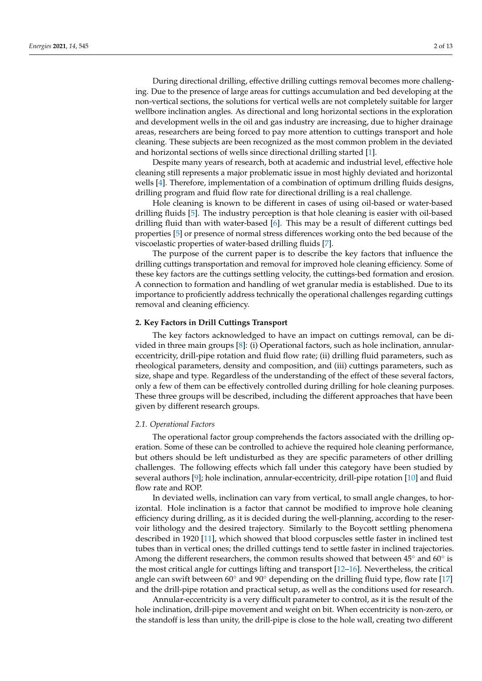During directional drilling, effective drilling cuttings removal becomes more challenging. Due to the presence of large areas for cuttings accumulation and bed developing at the non-vertical sections, the solutions for vertical wells are not completely suitable for larger wellbore inclination angles. As directional and long horizontal sections in the exploration and development wells in the oil and gas industry are increasing, due to higher drainage areas, researchers are being forced to pay more attention to cuttings transport and hole cleaning. These subjects are been recognized as the most common problem in the deviated and horizontal sections of wells since directional drilling started [\[1\]](#page-9-0).

Despite many years of research, both at academic and industrial level, effective hole cleaning still represents a major problematic issue in most highly deviated and horizontal wells [\[4\]](#page-10-0). Therefore, implementation of a combination of optimum drilling fluids designs, drilling program and fluid flow rate for directional drilling is a real challenge.

Hole cleaning is known to be different in cases of using oil-based or water-based drilling fluids [\[5\]](#page-10-1). The industry perception is that hole cleaning is easier with oil-based drilling fluid than with water-based [\[6\]](#page-10-2). This may be a result of different cuttings bed properties [\[5\]](#page-10-1) or presence of normal stress differences working onto the bed because of the viscoelastic properties of water-based drilling fluids [\[7\]](#page-10-3).

The purpose of the current paper is to describe the key factors that influence the drilling cuttings transportation and removal for improved hole cleaning efficiency. Some of these key factors are the cuttings settling velocity, the cuttings-bed formation and erosion. A connection to formation and handling of wet granular media is established. Due to its importance to proficiently address technically the operational challenges regarding cuttings removal and cleaning efficiency.

# **2. Key Factors in Drill Cuttings Transport**

The key factors acknowledged to have an impact on cuttings removal, can be divided in three main groups [\[8\]](#page-10-4): (i) Operational factors, such as hole inclination, annulareccentricity, drill-pipe rotation and fluid flow rate; (ii) drilling fluid parameters, such as rheological parameters, density and composition, and (iii) cuttings parameters, such as size, shape and type. Regardless of the understanding of the effect of these several factors, only a few of them can be effectively controlled during drilling for hole cleaning purposes. These three groups will be described, including the different approaches that have been given by different research groups.

#### *2.1. Operational Factors*

The operational factor group comprehends the factors associated with the drilling operation. Some of these can be controlled to achieve the required hole cleaning performance, but others should be left undisturbed as they are specific parameters of other drilling challenges. The following effects which fall under this category have been studied by several authors [\[9\]](#page-10-5); hole inclination, annular-eccentricity, drill-pipe rotation [\[10\]](#page-10-6) and fluid flow rate and ROP.

In deviated wells, inclination can vary from vertical, to small angle changes, to horizontal. Hole inclination is a factor that cannot be modified to improve hole cleaning efficiency during drilling, as it is decided during the well-planning, according to the reservoir lithology and the desired trajectory. Similarly to the Boycott settling phenomena described in 1920 [\[11\]](#page-10-7), which showed that blood corpuscles settle faster in inclined test tubes than in vertical ones; the drilled cuttings tend to settle faster in inclined trajectories. Among the different researchers, the common results showed that between  $45^{\circ}$  and  $60^{\circ}$  is the most critical angle for cuttings lifting and transport [\[12](#page-10-8)[–16\]](#page-10-9). Nevertheless, the critical angle can swift between  $60°$  and  $90°$  depending on the drilling fluid type, flow rate [\[17\]](#page-10-10) and the drill-pipe rotation and practical setup, as well as the conditions used for research.

Annular-eccentricity is a very difficult parameter to control, as it is the result of the hole inclination, drill-pipe movement and weight on bit. When eccentricity is non-zero, or the standoff is less than unity, the drill-pipe is close to the hole wall, creating two different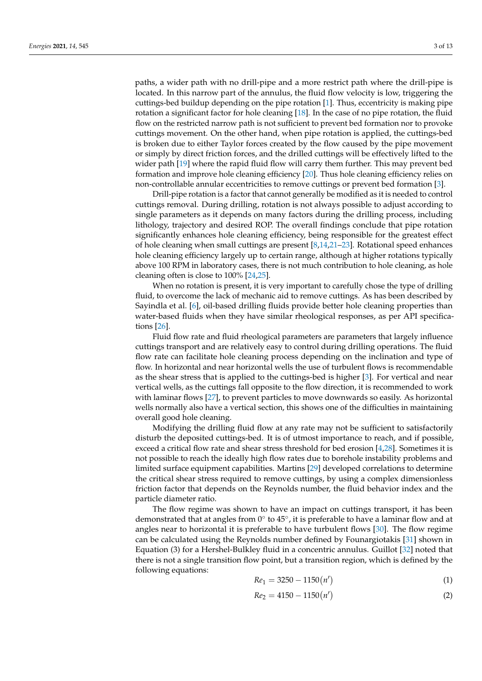paths, a wider path with no drill-pipe and a more restrict path where the drill-pipe is located. In this narrow part of the annulus, the fluid flow velocity is low, triggering the cuttings-bed buildup depending on the pipe rotation [\[1\]](#page-9-0). Thus, eccentricity is making pipe rotation a significant factor for hole cleaning [\[18\]](#page-10-11). In the case of no pipe rotation, the fluid flow on the restricted narrow path is not sufficient to prevent bed formation nor to provoke cuttings movement. On the other hand, when pipe rotation is applied, the cuttings-bed is broken due to either Taylor forces created by the flow caused by the pipe movement or simply by direct friction forces, and the drilled cuttings will be effectively lifted to the wider path [\[19\]](#page-10-12) where the rapid fluid flow will carry them further. This may prevent bed formation and improve hole cleaning efficiency [\[20\]](#page-10-13). Thus hole cleaning efficiency relies on non-controllable annular eccentricities to remove cuttings or prevent bed formation [\[3\]](#page-9-2).

Drill-pipe rotation is a factor that cannot generally be modified as it is needed to control cuttings removal. During drilling, rotation is not always possible to adjust according to single parameters as it depends on many factors during the drilling process, including lithology, trajectory and desired ROP. The overall findings conclude that pipe rotation significantly enhances hole cleaning efficiency, being responsible for the greatest effect of hole cleaning when small cuttings are present [\[8,](#page-10-4)[14,](#page-10-14)[21](#page-10-15)[–23\]](#page-10-16). Rotational speed enhances hole cleaning efficiency largely up to certain range, although at higher rotations typically above 100 RPM in laboratory cases, there is not much contribution to hole cleaning, as hole cleaning often is close to 100% [\[24,](#page-10-17)[25\]](#page-10-18).

When no rotation is present, it is very important to carefully chose the type of drilling fluid, to overcome the lack of mechanic aid to remove cuttings. As has been described by Sayindla et al. [\[6\]](#page-10-2), oil-based drilling fluids provide better hole cleaning properties than water-based fluids when they have similar rheological responses, as per API specifications [\[26\]](#page-10-19).

Fluid flow rate and fluid rheological parameters are parameters that largely influence cuttings transport and are relatively easy to control during drilling operations. The fluid flow rate can facilitate hole cleaning process depending on the inclination and type of flow. In horizontal and near horizontal wells the use of turbulent flows is recommendable as the shear stress that is applied to the cuttings-bed is higher [\[3\]](#page-9-2). For vertical and near vertical wells, as the cuttings fall opposite to the flow direction, it is recommended to work with laminar flows [\[27\]](#page-10-20), to prevent particles to move downwards so easily. As horizontal wells normally also have a vertical section, this shows one of the difficulties in maintaining overall good hole cleaning.

Modifying the drilling fluid flow at any rate may not be sufficient to satisfactorily disturb the deposited cuttings-bed. It is of utmost importance to reach, and if possible, exceed a critical flow rate and shear stress threshold for bed erosion [\[4](#page-10-0)[,28\]](#page-10-21). Sometimes it is not possible to reach the ideally high flow rates due to borehole instability problems and limited surface equipment capabilities. Martins [\[29\]](#page-10-22) developed correlations to determine the critical shear stress required to remove cuttings, by using a complex dimensionless friction factor that depends on the Reynolds number, the fluid behavior index and the particle diameter ratio.

The flow regime was shown to have an impact on cuttings transport, it has been demonstrated that at angles from 0° to 45°, it is preferable to have a laminar flow and at angles near to horizontal it is preferable to have turbulent flows [\[30\]](#page-10-23). The flow regime can be calculated using the Reynolds number defined by Founargiotakis [\[31\]](#page-11-0) shown in Equation (3) for a Hershel-Bulkley fluid in a concentric annulus. Guillot [\[32\]](#page-11-1) noted that there is not a single transition flow point, but a transition region, which is defined by the following equations:  $\sim$ 

$$
Re_1 = 3250 - 1150(n') \tag{1}
$$

$$
Re_2 = 4150 - 1150(n')
$$
 (2)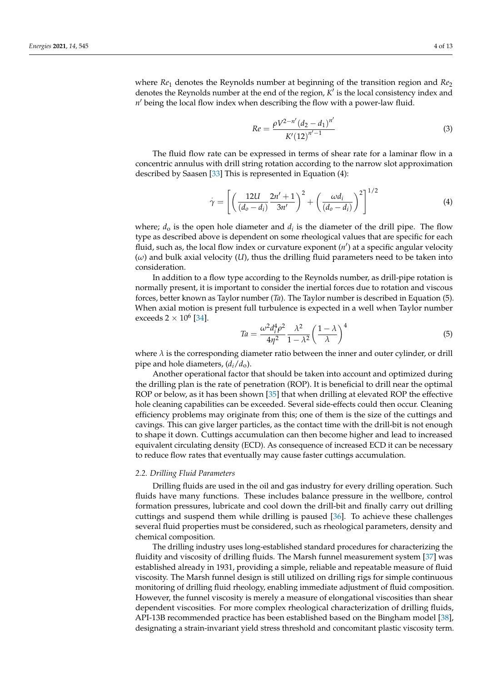where *Re*<sup>1</sup> denotes the Reynolds number at beginning of the transition region and *Re*<sup>2</sup> denotes the Reynolds number at the end of the region,  $K'$  is the local consistency index and n' being the local flow index when describing the flow with a power-law fluid.

$$
Re = \frac{\rho V^{2-n'} (d_2 - d_1)^{n'}}{K'(12)^{n'-1}} \tag{3}
$$

The fluid flow rate can be expressed in terms of shear rate for a laminar flow in a concentric annulus with drill string rotation according to the narrow slot approximation described by Saasen [\[33\]](#page-11-2) This is represented in Equation (4):

$$
\dot{\gamma} = \left[ \left( \frac{12U}{(d_o - d_i)} \frac{2n' + 1}{3n'} \right)^2 + \left( \frac{\omega d_i}{(d_o - d_i)} \right)^2 \right]^{1/2}
$$
(4)

where;  $d_0$  is the open hole diameter and  $d_i$  is the diameter of the drill pipe. The flow type as described above is dependent on some rheological values that are specific for each fluid, such as, the local flow index or curvature exponent  $(n')$  at a specific angular velocity (*ω*) and bulk axial velocity (*U*), thus the drilling fluid parameters need to be taken into consideration.

In addition to a flow type according to the Reynolds number, as drill-pipe rotation is normally present, it is important to consider the inertial forces due to rotation and viscous forces, better known as Taylor number (*Ta*). The Taylor number is described in Equation (5). When axial motion is present full turbulence is expected in a well when Taylor number exceeds 2  $\times$  10<sup>6</sup> [\[34\]](#page-11-3).

$$
Ta = \frac{\omega^2 d_i^4 \rho^2}{4\eta^2} \frac{\lambda^2}{1 - \lambda^2} \left(\frac{1 - \lambda}{\lambda}\right)^4
$$
\n(5)

where  $\lambda$  is the corresponding diameter ratio between the inner and outer cylinder, or drill pipe and hole diameters, (*di*/*d*o).

Another operational factor that should be taken into account and optimized during the drilling plan is the rate of penetration (ROP). It is beneficial to drill near the optimal ROP or below, as it has been shown [\[35\]](#page-11-4) that when drilling at elevated ROP the effective hole cleaning capabilities can be exceeded. Several side-effects could then occur. Cleaning efficiency problems may originate from this; one of them is the size of the cuttings and cavings. This can give larger particles, as the contact time with the drill-bit is not enough to shape it down. Cuttings accumulation can then become higher and lead to increased equivalent circulating density (ECD). As consequence of increased ECD it can be necessary to reduce flow rates that eventually may cause faster cuttings accumulation.

#### *2.2. Drilling Fluid Parameters*

Drilling fluids are used in the oil and gas industry for every drilling operation. Such fluids have many functions. These includes balance pressure in the wellbore, control formation pressures, lubricate and cool down the drill-bit and finally carry out drilling cuttings and suspend them while drilling is paused [\[36\]](#page-11-5). To achieve these challenges several fluid properties must be considered, such as rheological parameters, density and chemical composition.

The drilling industry uses long-established standard procedures for characterizing the fluidity and viscosity of drilling fluids. The Marsh funnel measurement system [\[37\]](#page-11-6) was established already in 1931, providing a simple, reliable and repeatable measure of fluid viscosity. The Marsh funnel design is still utilized on drilling rigs for simple continuous monitoring of drilling fluid rheology, enabling immediate adjustment of fluid composition. However, the funnel viscosity is merely a measure of elongational viscosities than shear dependent viscosities. For more complex rheological characterization of drilling fluids, API-13B recommended practice has been established based on the Bingham model [\[38\]](#page-11-7), designating a strain-invariant yield stress threshold and concomitant plastic viscosity term.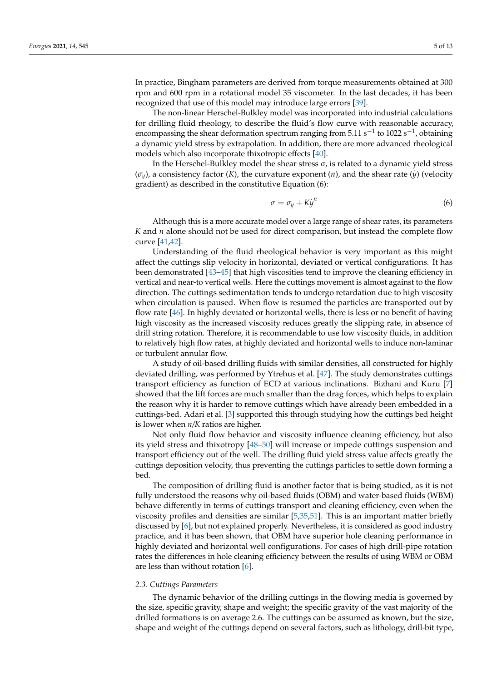In practice, Bingham parameters are derived from torque measurements obtained at 300 rpm and 600 rpm in a rotational model 35 viscometer. In the last decades, it has been recognized that use of this model may introduce large errors [\[39\]](#page-11-8).

The non-linear Herschel-Bulkley model was incorporated into industrial calculations for drilling fluid rheology, to describe the fluid's flow curve with reasonable accuracy, encompassing the shear deformation spectrum ranging from  $5.11 s^{-1}$  to  $1022 s^{-1}$ , obtaining a dynamic yield stress by extrapolation. In addition, there are more advanced rheological models which also incorporate thixotropic effects [\[40\]](#page-11-9).

In the Herschel-Bulkley model the shear stress  $\sigma$ , is related to a dynamic yield stress  $(\sigma_y)$ , a consistency factor (*K*), the curvature exponent (*n*), and the shear rate (*y*) (velocity gradient) as described in the constitutive Equation (6):

$$
\sigma = \sigma_y + K \dot{y}^n \tag{6}
$$

Although this is a more accurate model over a large range of shear rates, its parameters *K* and *n* alone should not be used for direct comparison, but instead the complete flow curve [\[41](#page-11-10)[,42\]](#page-11-11).

Understanding of the fluid rheological behavior is very important as this might affect the cuttings slip velocity in horizontal, deviated or vertical configurations. It has been demonstrated [\[43](#page-11-12)[–45\]](#page-11-13) that high viscosities tend to improve the cleaning efficiency in vertical and near-to vertical wells. Here the cuttings movement is almost against to the flow direction. The cuttings sedimentation tends to undergo retardation due to high viscosity when circulation is paused. When flow is resumed the particles are transported out by flow rate [\[46\]](#page-11-14). In highly deviated or horizontal wells, there is less or no benefit of having high viscosity as the increased viscosity reduces greatly the slipping rate, in absence of drill string rotation. Therefore, it is recommendable to use low viscosity fluids, in addition to relatively high flow rates, at highly deviated and horizontal wells to induce non-laminar or turbulent annular flow.

A study of oil-based drilling fluids with similar densities, all constructed for highly deviated drilling, was performed by Ytrehus et al. [\[47\]](#page-11-15). The study demonstrates cuttings transport efficiency as function of ECD at various inclinations. Bizhani and Kuru [\[7\]](#page-10-3) showed that the lift forces are much smaller than the drag forces, which helps to explain the reason why it is harder to remove cuttings which have already been embedded in a cuttings-bed. Adari et al. [\[3\]](#page-9-2) supported this through studying how the cuttings bed height is lower when *n/K* ratios are higher.

Not only fluid flow behavior and viscosity influence cleaning efficiency, but also its yield stress and thixotropy [\[48–](#page-11-16)[50\]](#page-11-17) will increase or impede cuttings suspension and transport efficiency out of the well. The drilling fluid yield stress value affects greatly the cuttings deposition velocity, thus preventing the cuttings particles to settle down forming a bed.

The composition of drilling fluid is another factor that is being studied, as it is not fully understood the reasons why oil-based fluids (OBM) and water-based fluids (WBM) behave differently in terms of cuttings transport and cleaning efficiency, even when the viscosity profiles and densities are similar [\[5](#page-10-1)[,35](#page-11-4)[,51\]](#page-11-18). This is an important matter briefly discussed by [\[6\]](#page-10-2), but not explained properly. Nevertheless, it is considered as good industry practice, and it has been shown, that OBM have superior hole cleaning performance in highly deviated and horizontal well configurations. For cases of high drill-pipe rotation rates the differences in hole cleaning efficiency between the results of using WBM or OBM are less than without rotation [\[6\]](#page-10-2).

#### *2.3. Cuttings Parameters*

The dynamic behavior of the drilling cuttings in the flowing media is governed by the size, specific gravity, shape and weight; the specific gravity of the vast majority of the drilled formations is on average 2.6. The cuttings can be assumed as known, but the size, shape and weight of the cuttings depend on several factors, such as lithology, drill-bit type,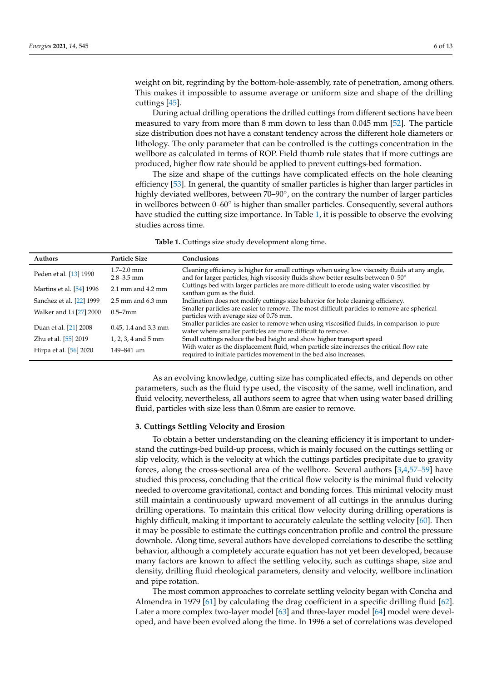weight on bit, regrinding by the bottom-hole-assembly, rate of penetration, among others. This makes it impossible to assume average or uniform size and shape of the drilling cuttings [\[45\]](#page-11-13).

During actual drilling operations the drilled cuttings from different sections have been measured to vary from more than 8 mm down to less than 0.045 mm [\[52\]](#page-11-19). The particle size distribution does not have a constant tendency across the different hole diameters or lithology. The only parameter that can be controlled is the cuttings concentration in the wellbore as calculated in terms of ROP. Field thumb rule states that if more cuttings are produced, higher flow rate should be applied to prevent cuttings-bed formation.

The size and shape of the cuttings have complicated effects on the hole cleaning efficiency [\[53\]](#page-11-20). In general, the quantity of smaller particles is higher than larger particles in highly deviated wellbores, between 70–90°, on the contrary the number of larger particles in wellbores between 0-60° is higher than smaller particles. Consequently, several authors have studied the cutting size importance. In Table [1,](#page-5-0) it is possible to observe the evolving studies across time.

**Table 1.** Cuttings size study development along time.

<span id="page-5-0"></span>

| <b>Authors</b>           | <b>Particle Size</b>             | Conclusions                                                                                                                                                                         |
|--------------------------|----------------------------------|-------------------------------------------------------------------------------------------------------------------------------------------------------------------------------------|
| Peden et al. [13] 1990   | $1.7 - 2.0$ mm<br>$2.8 - 3.5$ mm | Cleaning efficiency is higher for small cuttings when using low viscosity fluids at any angle,<br>and for larger particles, high viscosity fluids show better results between 0-50° |
| Martins et al. [54] 1996 | $2.1$ mm and $4.2$ mm            | Cuttings bed with larger particles are more difficult to erode using water viscosified by<br>xanthan gum as the fluid.                                                              |
| Sanchez et al. [22] 1999 | $2.5$ mm and $6.3$ mm            | Inclination does not modify cuttings size behavior for hole cleaning efficiency.                                                                                                    |
| Walker and Li [27] 2000  | $0.5 - 7$ mm                     | Smaller particles are easier to remove. The most difficult particles to remove are spherical<br>particles with average size of 0.76 mm.                                             |
| Duan et al. [21] 2008    | $0.45$ , 1.4 and 3.3 mm          | Smaller particles are easier to remove when using viscosified fluids, in comparison to pure<br>water where smaller particles are more difficult to remove.                          |
| Zhu et al. [55] 2019     | 1, 2, 3, 4 and 5 mm              | Small cuttings reduce the bed height and show higher transport speed                                                                                                                |
| Hirpa et al. [56] 2020   | 149-841 um                       | With water as the displacement fluid, when particle size increases the critical flow rate<br>required to initiate particles movement in the bed also increases.                     |

As an evolving knowledge, cutting size has complicated effects, and depends on other parameters, such as the fluid type used, the viscosity of the same, well inclination, and fluid velocity, nevertheless, all authors seem to agree that when using water based drilling fluid, particles with size less than 0.8mm are easier to remove.

# **3. Cuttings Settling Velocity and Erosion**

To obtain a better understanding on the cleaning efficiency it is important to understand the cuttings-bed build-up process, which is mainly focused on the cuttings settling or slip velocity, which is the velocity at which the cuttings particles precipitate due to gravity forces, along the cross-sectional area of the wellbore. Several authors [\[3](#page-9-2)[,4](#page-10-0)[,57–](#page-11-24)[59\]](#page-11-25) have studied this process, concluding that the critical flow velocity is the minimal fluid velocity needed to overcome gravitational, contact and bonding forces. This minimal velocity must still maintain a continuously upward movement of all cuttings in the annulus during drilling operations. To maintain this critical flow velocity during drilling operations is highly difficult, making it important to accurately calculate the settling velocity [\[60\]](#page-11-26). Then it may be possible to estimate the cuttings concentration profile and control the pressure downhole. Along time, several authors have developed correlations to describe the settling behavior, although a completely accurate equation has not yet been developed, because many factors are known to affect the settling velocity, such as cuttings shape, size and density, drilling fluid rheological parameters, density and velocity, wellbore inclination and pipe rotation.

The most common approaches to correlate settling velocity began with Concha and Almendra in 1979 [\[61\]](#page-11-27) by calculating the drag coefficient in a specific drilling fluid [\[62\]](#page-12-0). Later a more complex two-layer model [\[63\]](#page-12-1) and three-layer model [\[64\]](#page-12-2) model were developed, and have been evolved along the time. In 1996 a set of correlations was developed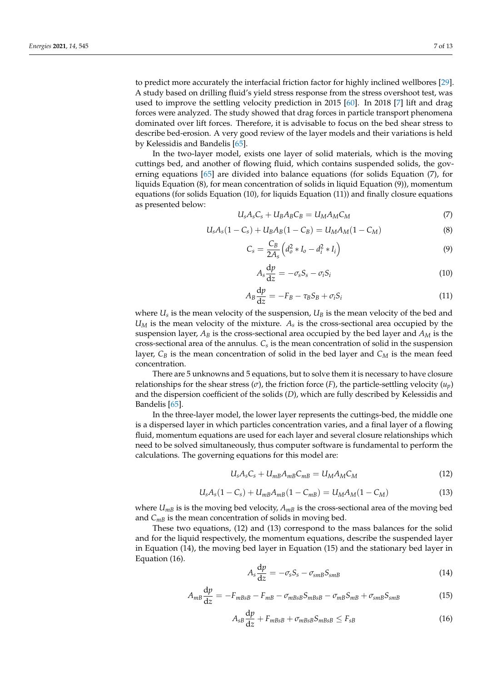to predict more accurately the interfacial friction factor for highly inclined wellbores [\[29\]](#page-10-22). A study based on drilling fluid's yield stress response from the stress overshoot test, was used to improve the settling velocity prediction in 2015 [\[60\]](#page-11-26). In 2018 [\[7\]](#page-10-3) lift and drag forces were analyzed. The study showed that drag forces in particle transport phenomena dominated over lift forces. Therefore, it is advisable to focus on the bed shear stress to describe bed-erosion. A very good review of the layer models and their variations is held by Kelessidis and Bandelis [\[65\]](#page-12-3).

In the two-layer model, exists one layer of solid materials, which is the moving cuttings bed, and another of flowing fluid, which contains suspended solids, the governing equations [\[65\]](#page-12-3) are divided into balance equations (for solids Equation (7), for liquids Equation (8), for mean concentration of solids in liquid Equation (9)), momentum equations (for solids Equation (10), for liquids Equation (11)) and finally closure equations as presented below:

$$
U_s A_s C_s + U_B A_B C_B = U_M A_M C_M \tag{7}
$$

$$
U_s A_s (1 - C_s) + U_B A_B (1 - C_B) = U_M A_M (1 - C_M)
$$
\n(8)

$$
C_s = \frac{C_B}{2A_s} \left( d_o^2 * I_o - d_i^2 * I_i \right)
$$
 (9)

$$
A_s \frac{\mathrm{d}p}{\mathrm{d}z} = -\sigma_s S_s - \sigma_i S_i \tag{10}
$$

$$
A_B \frac{\mathrm{d}p}{\mathrm{d}z} = -F_B - \tau_B S_B + \sigma_i S_i \tag{11}
$$

where  $U_s$  is the mean velocity of the suspension,  $U_B$  is the mean velocity of the bed and  $U_M$  is the mean velocity of the mixture.  $A_s$  is the cross-sectional area occupied by the suspension layer,  $A_B$  is the cross-sectional area occupied by the bed layer and  $A_M$  is the cross-sectional area of the annulus. *Cs* is the mean concentration of solid in the suspension layer,  $C_B$  is the mean concentration of solid in the bed layer and  $C_M$  is the mean feed concentration.

There are 5 unknowns and 5 equations, but to solve them it is necessary to have closure relationships for the shear stress ( $\sigma$ ), the friction force (*F*), the particle-settling velocity ( $u_p$ ) and the dispersion coefficient of the solids (*D*), which are fully described by Kelessidis and Bandelis [\[65\]](#page-12-3).

In the three-layer model, the lower layer represents the cuttings-bed, the middle one is a dispersed layer in which particles concentration varies, and a final layer of a flowing fluid, momentum equations are used for each layer and several closure relationships which need to be solved simultaneously, thus computer software is fundamental to perform the calculations. The governing equations for this model are:

$$
U_s A_s C_s + U_{mB} A_{mB} C_{mB} = U_M A_M C_M \tag{12}
$$

$$
U_s A_s (1 - C_s) + U_{mB} A_{mB} (1 - C_{mB}) = U_M A_M (1 - C_M)
$$
\n(13)

where  $U_{mB}$  is is the moving bed velocity,  $A_{mB}$  is the cross-sectional area of the moving bed and  $C_{mB}$  is the mean concentration of solids in moving bed.

These two equations, (12) and (13) correspond to the mass balances for the solid and for the liquid respectively, the momentum equations, describe the suspended layer in Equation (14), the moving bed layer in Equation (15) and the stationary bed layer in Equation (16).

$$
A_s \frac{\mathrm{d}p}{\mathrm{d}z} = -\sigma_s S_s - \sigma_{smB} S_{smB} \tag{14}
$$

$$
A_{mB}\frac{\mathrm{d}p}{\mathrm{d}z} = -F_{mBsB} - F_{mB} - \sigma_{mBsB}S_{mBsB} - \sigma_{mB}S_{mB} + \sigma_{smB}S_{smB} \tag{15}
$$

$$
A_{sB}\frac{\mathrm{d}p}{\mathrm{d}z} + F_{mBsB} + \sigma_{mBsB}S_{mBsB} \le F_{sB} \tag{16}
$$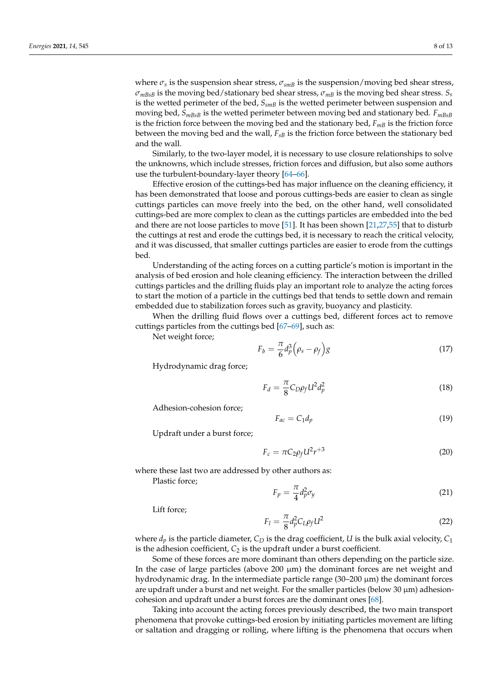where  $\sigma_s$  is the suspension shear stress,  $\sigma_{smB}$  is the suspension/moving bed shear stress,  $\sigma_{mBB}$  is the moving bed/stationary bed shear stress,  $\sigma_{mB}$  is the moving bed shear stress.  $S_s$ is the wetted perimeter of the bed,  $S_{smB}$  is the wetted perimeter between suspension and moving bed,  $S_{mBBB}$  is the wetted perimeter between moving bed and stationary bed.  $F_{mBBB}$ is the friction force between the moving bed and the stationary bed,  $F_{mB}$  is the friction force between the moving bed and the wall, *FsB* is the friction force between the stationary bed and the wall.

Similarly, to the two-layer model, it is necessary to use closure relationships to solve the unknowns, which include stresses, friction forces and diffusion, but also some authors use the turbulent-boundary-layer theory [\[64–](#page-12-2)[66\]](#page-12-4).

Effective erosion of the cuttings-bed has major influence on the cleaning efficiency, it has been demonstrated that loose and porous cuttings-beds are easier to clean as single cuttings particles can move freely into the bed, on the other hand, well consolidated cuttings-bed are more complex to clean as the cuttings particles are embedded into the bed and there are not loose particles to move [\[51\]](#page-11-18). It has been shown [\[21,](#page-10-15)[27,](#page-10-20)[55\]](#page-11-22) that to disturb the cuttings at rest and erode the cuttings bed, it is necessary to reach the critical velocity, and it was discussed, that smaller cuttings particles are easier to erode from the cuttings bed.

Understanding of the acting forces on a cutting particle's motion is important in the analysis of bed erosion and hole cleaning efficiency. The interaction between the drilled cuttings particles and the drilling fluids play an important role to analyze the acting forces to start the motion of a particle in the cuttings bed that tends to settle down and remain embedded due to stabilization forces such as gravity, buoyancy and plasticity.

When the drilling fluid flows over a cuttings bed, different forces act to remove cuttings particles from the cuttings bed [\[67](#page-12-5)[–69\]](#page-12-6), such as:

Net weight force;

$$
F_b = \frac{\pi}{6} d_p^3 \left(\rho_s - \rho_f\right) g \tag{17}
$$

Hydrodynamic drag force;

$$
F_d = \frac{\pi}{8} C_D \rho_f U^2 d_p^2 \tag{18}
$$

Adhesion-cohesion force;

$$
F_{ac} = C_1 d_p \tag{19}
$$

Updraft under a burst force;

$$
F_c = \pi C_2 \rho_f U^2 r^{+3} \tag{20}
$$

where these last two are addressed by other authors as:

Plastic force;

$$
F_p = \frac{\pi}{4} d_p^2 \sigma_y \tag{21}
$$

Lift force;

$$
F_l = \frac{\pi}{8} d_p^2 C_L \rho_f U^2 \tag{22}
$$

where  $d_p$  is the particle diameter,  $C_D$  is the drag coefficient, *U* is the bulk axial velocity,  $C_1$ is the adhesion coefficient,  $C_2$  is the updraft under a burst coefficient.

Some of these forces are more dominant than others depending on the particle size. In the case of large particles (above  $200 \mu m$ ) the dominant forces are net weight and hydrodynamic drag. In the intermediate particle range (30–200 µm) the dominant forces are updraft under a burst and net weight. For the smaller particles (below  $30 \mu m$ ) adhesioncohesion and updraft under a burst forces are the dominant ones [\[68\]](#page-12-7).

Taking into account the acting forces previously described, the two main transport phenomena that provoke cuttings-bed erosion by initiating particles movement are lifting or saltation and dragging or rolling, where lifting is the phenomena that occurs when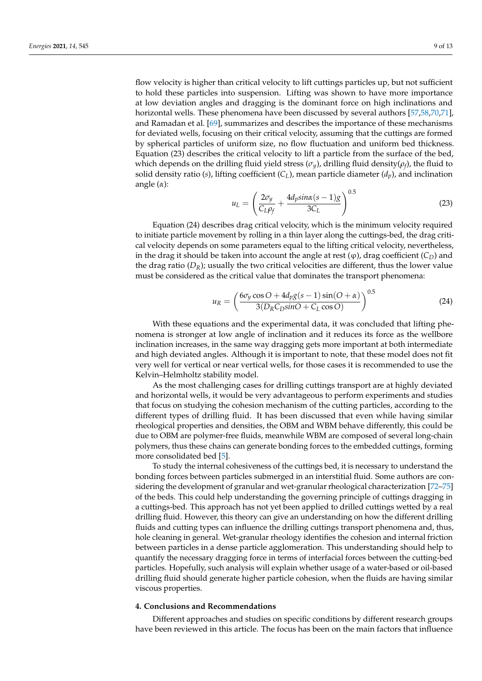flow velocity is higher than critical velocity to lift cuttings particles up, but not sufficient to hold these particles into suspension. Lifting was shown to have more importance at low deviation angles and dragging is the dominant force on high inclinations and horizontal wells. These phenomena have been discussed by several authors [\[57](#page-11-24)[,58](#page-11-28)[,70,](#page-12-8)[71\]](#page-12-9), and Ramadan et al. [\[69\]](#page-12-6), summarizes and describes the importance of these mechanisms for deviated wells, focusing on their critical velocity, assuming that the cuttings are formed by spherical particles of uniform size, no flow fluctuation and uniform bed thickness. Equation (23) describes the critical velocity to lift a particle from the surface of the bed, which depends on the drilling fluid yield stress (*σy*), drilling fluid density(*ρ<sup>f</sup>* ), the fluid to solid density ratio (*s*), lifting coefficient  $(C_L)$ , mean particle diameter  $(d_p)$ , and inclination angle (*α*):

$$
u_L = \left(\frac{2\sigma_y}{C_L \rho_f} + \frac{4d_p \sin\alpha (s-1)g}{3C_L}\right)^{0.5}
$$
(23)

Equation (24) describes drag critical velocity, which is the minimum velocity required to initiate particle movement by rolling in a thin layer along the cuttings-bed, the drag critical velocity depends on some parameters equal to the lifting critical velocity, nevertheless, in the drag it should be taken into account the angle at rest  $(\varphi)$ , drag coefficient  $(C_D)$  and the drag ratio  $(D_R)$ ; usually the two critical velocities are different, thus the lower value must be considered as the critical value that dominates the transport phenomena:

$$
u_R = \left(\frac{6\sigma_y \cos O + 4d_p g(s-1)\sin(O+\alpha)}{3(D_R C_D \sin O + C_L \cos O)}\right)^{0.5}
$$
(24)

With these equations and the experimental data, it was concluded that lifting phenomena is stronger at low angle of inclination and it reduces its force as the wellbore inclination increases, in the same way dragging gets more important at both intermediate and high deviated angles. Although it is important to note, that these model does not fit very well for vertical or near vertical wells, for those cases it is recommended to use the Kelvin–Helmholtz stability model.

As the most challenging cases for drilling cuttings transport are at highly deviated and horizontal wells, it would be very advantageous to perform experiments and studies that focus on studying the cohesion mechanism of the cutting particles, according to the different types of drilling fluid. It has been discussed that even while having similar rheological properties and densities, the OBM and WBM behave differently, this could be due to OBM are polymer-free fluids, meanwhile WBM are composed of several long-chain polymers, thus these chains can generate bonding forces to the embedded cuttings, forming more consolidated bed [\[5\]](#page-10-1).

To study the internal cohesiveness of the cuttings bed, it is necessary to understand the bonding forces between particles submerged in an interstitial fluid. Some authors are considering the development of granular and wet-granular rheological characterization [\[72–](#page-12-10)[75\]](#page-12-11) of the beds. This could help understanding the governing principle of cuttings dragging in a cuttings-bed. This approach has not yet been applied to drilled cuttings wetted by a real drilling fluid. However, this theory can give an understanding on how the different drilling fluids and cutting types can influence the drilling cuttings transport phenomena and, thus, hole cleaning in general. Wet-granular rheology identifies the cohesion and internal friction between particles in a dense particle agglomeration. This understanding should help to quantify the necessary dragging force in terms of interfacial forces between the cutting-bed particles. Hopefully, such analysis will explain whether usage of a water-based or oil-based drilling fluid should generate higher particle cohesion, when the fluids are having similar viscous properties.

# **4. Conclusions and Recommendations**

Different approaches and studies on specific conditions by different research groups have been reviewed in this article. The focus has been on the main factors that influence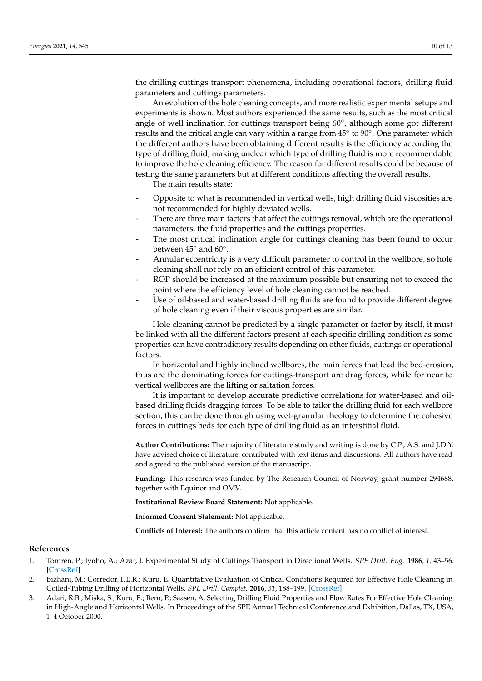the drilling cuttings transport phenomena, including operational factors, drilling fluid parameters and cuttings parameters.

An evolution of the hole cleaning concepts, and more realistic experimental setups and experiments is shown. Most authors experienced the same results, such as the most critical angle of well inclination for cuttings transport being 60°, although some got different results and the critical angle can vary within a range from 45° to 90°. One parameter which the different authors have been obtaining different results is the efficiency according the type of drilling fluid, making unclear which type of drilling fluid is more recommendable to improve the hole cleaning efficiency. The reason for different results could be because of testing the same parameters but at different conditions affecting the overall results.

The main results state:

- Opposite to what is recommended in vertical wells, high drilling fluid viscosities are not recommended for highly deviated wells.
- There are three main factors that affect the cuttings removal, which are the operational parameters, the fluid properties and the cuttings properties.
- The most critical inclination angle for cuttings cleaning has been found to occur between  $45^{\circ}$  and  $60^{\circ}$ .
- Annular eccentricity is a very difficult parameter to control in the wellbore, so hole cleaning shall not rely on an efficient control of this parameter.
- ROP should be increased at the maximum possible but ensuring not to exceed the point where the efficiency level of hole cleaning cannot be reached.
- Use of oil-based and water-based drilling fluids are found to provide different degree of hole cleaning even if their viscous properties are similar.

Hole cleaning cannot be predicted by a single parameter or factor by itself, it must be linked with all the different factors present at each specific drilling condition as some properties can have contradictory results depending on other fluids, cuttings or operational factors.

In horizontal and highly inclined wellbores, the main forces that lead the bed-erosion, thus are the dominating forces for cuttings-transport are drag forces, while for near to vertical wellbores are the lifting or saltation forces.

It is important to develop accurate predictive correlations for water-based and oilbased drilling fluids dragging forces. To be able to tailor the drilling fluid for each wellbore section, this can be done through using wet-granular rheology to determine the cohesive forces in cuttings beds for each type of drilling fluid as an interstitial fluid.

**Author Contributions:** The majority of literature study and writing is done by C.P., A.S. and J.D.Y. have advised choice of literature, contributed with text items and discussions. All authors have read and agreed to the published version of the manuscript.

**Funding:** This research was funded by The Research Council of Norway, grant number 294688, together with Equinor and OMV.

**Institutional Review Board Statement:** Not applicable.

**Informed Consent Statement:** Not applicable.

**Conflicts of Interest:** The authors confirm that this article content has no conflict of interest.

#### **References**

- <span id="page-9-0"></span>1. Tomren, P.; Iyoho, A.; Azar, J. Experimental Study of Cuttings Transport in Directional Wells. *SPE Drill. Eng.* **1986**, *1*, 43–56. [\[CrossRef\]](http://doi.org/ 10.2118/12123-PA)
- <span id="page-9-1"></span>2. Bizhani, M.; Corredor, F.E.R.; Kuru, E. Quantitative Evaluation of Critical Conditions Required for Effective Hole Cleaning in Coiled-Tubing Drilling of Horizontal Wells. *SPE Drill. Complet.* **2016**, *31*, 188–199. [\[CrossRef\]](http://doi.org/ 10.2118/174404-PA)
- <span id="page-9-2"></span>3. Adari, R.B.; Miska, S.; Kuru, E.; Bern, P.; Saasen, A. Selecting Drilling Fluid Properties and Flow Rates For Effective Hole Cleaning in High-Angle and Horizontal Wells. In Proceedings of the SPE Annual Technical Conference and Exhibition, Dallas, TX, USA, 1–4 October 2000.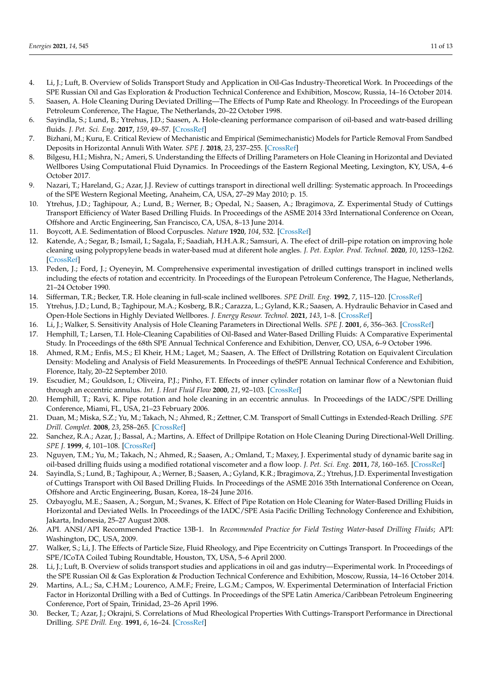- <span id="page-10-0"></span>4. Li, J.; Luft, B. Overview of Solids Transport Study and Application in Oil-Gas Industry-Theoretical Work. In Proceedings of the SPE Russian Oil and Gas Exploration & Production Technical Conference and Exhibition, Moscow, Russia, 14–16 October 2014.
- <span id="page-10-1"></span>5. Saasen, A. Hole Cleaning During Deviated Drilling—The Effects of Pump Rate and Rheology. In Proceedings of the European Petroleum Conference, The Hague, The Netherlands, 20–22 October 1998.
- <span id="page-10-2"></span>6. Sayindla, S.; Lund, B.; Ytrehus, J.D.; Saasen, A. Hole-cleaning performance comparison of oil-based and watr-based drilling fluids. *J. Pet. Sci. Eng.* **2017**, *159*, 49–57. [\[CrossRef\]](http://doi.org/ 10.1016/j.petrol.2017.08.069)
- <span id="page-10-3"></span>7. Bizhani, M.; Kuru, E. Critical Review of Mechanistic and Empirical (Semimechanistic) Models for Particle Removal From Sandbed Deposits in Horizontal Annuli With Water. *SPE J.* **2018**, *23*, 237–255. [\[CrossRef\]](http://doi.org/ 10.2118/187948-PA)
- <span id="page-10-4"></span>8. Bilgesu, H.I.; Mishra, N.; Ameri, S. Understanding the Effects of Drilling Parameters on Hole Cleaning in Horizontal and Deviated Wellbores Using Computational Fluid Dynamics. In Proceedings of the Eastern Regional Meeting, Lexington, KY, USA, 4–6 October 2017.
- <span id="page-10-5"></span>9. Nazari, T.; Hareland, G.; Azar, J.J. Review of cuttings transport in directional well drilling: Systematic approach. In Proceedings of the SPE Western Regional Meeting, Anaheim, CA, USA, 27–29 May 2010; p. 15.
- <span id="page-10-6"></span>10. Ytrehus, J.D.; Taghipour, A.; Lund, B.; Werner, B.; Opedal, N.; Saasen, A.; Ibragimova, Z. Experimental Study of Cuttings Transport Efficiency of Water Based Drilling Fluids. In Proceedings of the ASME 2014 33rd International Conference on Ocean, Offshore and Arctic Engineering, San Francisco, CA, USA, 8–13 June 2014.
- <span id="page-10-7"></span>11. Boycott, A.E. Sedimentation of Blood Corpuscles. *Nature* **1920**, *104*, 532. [\[CrossRef\]](http://doi.org/ 10.1038/104532b0)
- <span id="page-10-8"></span>12. Katende, A.; Segar, B.; Ismail, I.; Sagala, F.; Saadiah, H.H.A.R.; Samsuri, A. The efect of drill–pipe rotation on improving hole cleaning using polypropylene beads in water-based mud at diferent hole angles. *J. Pet. Explor. Prod. Technol.* **2020**, *10*, 1253–1262. [\[CrossRef\]](http://doi.org/ 10.1007/s13202-019-00815-1)
- <span id="page-10-24"></span>13. Peden, J.; Ford, J.; Oyeneyin, M. Comprehensive experimental investigation of drilled cuttings transport in inclined wells including the efects of rotation and eccentricity. In Proceedings of the European Petroleum Conference, The Hague, Netherlands, 21–24 October 1990.
- <span id="page-10-14"></span>14. Sifferman, T.R.; Becker, T.R. Hole cleaning in full-scale inclined wellbores. *SPE Drill. Eng.* **1992**, *7*, 115–120. [\[CrossRef\]](http://doi.org/ 10.2118/20422-PA)
- 15. Ytrehus, J.D.; Lund, B.; Taghipour, M.A.; Kosberg, B.R.; Carazza, L.; Gyland, K.R.; Saasen, A. Hydraulic Behavior in Cased and Open-Hole Sections in Highly Deviated Wellbores. *J. Energy Resour. Technol.* **2021**, *143*, 1–8. [\[CrossRef\]](http://doi.org/ 10.1115/1.4049180)
- <span id="page-10-9"></span>16. Li, J.; Walker, S. Sensitivity Analysis of Hole Cleaning Parameters in Directional Wells. *SPE J.* **2001**, *6*, 356–363. [\[CrossRef\]](http://doi.org/ 10.2118/74710-PA)
- <span id="page-10-10"></span>17. Hemphill, T.; Larsen, T.I. Hole-Cleaning Capabilities of Oil-Based and Water-Based Drilling Fluids: A Comparative Experimental Study. In Proceedings of the 68th SPE Annual Technical Conference and Exhibition, Denver, CO, USA, 6–9 October 1996.
- <span id="page-10-11"></span>18. Ahmed, R.M.; Enfis, M.S.; El Kheir, H.M.; Laget, M.; Saasen, A. The Effect of Drillstring Rotation on Equivalent Circulation Density: Modeling and Analysis of Field Measurements. In Proceedings of theSPE Annual Technical Conference and Exhibition, Florence, Italy, 20–22 September 2010.
- <span id="page-10-12"></span>19. Escudier, M.; Gouldson, I.; Oliveira, P.J.; Pinho, F.T. Effects of inner cylinder rotation on laminar flow of a Newtonian fluid through an eccentric annulus. *Int. J. Heat Fluid Flow* **2000**, *21*, 92–103. [\[CrossRef\]](http://doi.org/ 10.1016/S0142-727X(99)00059-4)
- <span id="page-10-13"></span>20. Hemphill, T.; Ravi, K. Pipe rotation and hole cleaning in an eccentric annulus. In Proceedings of the IADC/SPE Drilling Conference, Miami, FL, USA, 21–23 February 2006.
- <span id="page-10-15"></span>21. Duan, M.; Miska, S.Z.; Yu, M.; Takach, N.; Ahmed, R.; Zettner, C.M. Transport of Small Cuttings in Extended-Reach Drilling. *SPE Drill. Complet.* **2008**, *23*, 258–265. [\[CrossRef\]](http://doi.org/ 10.2118/104192-PA)
- <span id="page-10-25"></span>22. Sanchez, R.A.; Azar, J.; Bassal, A.; Martins, A. Effect of Drillpipe Rotation on Hole Cleaning During Directional-Well Drilling. *SPE J.* **1999**, *4*, 101–108. [\[CrossRef\]](http://doi.org/ 10.2118/56406-PA)
- <span id="page-10-16"></span>23. Nguyen, T.M.; Yu, M.; Takach, N.; Ahmed, R.; Saasen, A.; Omland, T.; Maxey, J. Experimental study of dynamic barite sag in oil-based drilling fluids using a modified rotational viscometer and a flow loop. *J. Pet. Sci. Eng.* **2011**, *78*, 160–165. [\[CrossRef\]](http://doi.org/ 10.1016/j.petrol.2011.04.018)
- <span id="page-10-17"></span>24. Sayindla, S.; Lund, B.; Taghipour, A.; Werner, B.; Saasen, A.; Gyland, K.R.; Ibragimova, Z.; Ytrehus, J.D. Experimental Investigation of Cuttings Transport with Oil Based Drilling Fluids. In Proceedings of the ASME 2016 35th International Conference on Ocean, Offshore and Arctic Engineering, Busan, Korea, 18–24 June 2016.
- <span id="page-10-18"></span>25. Ozbayoglu, M.E.; Saasen, A.; Sorgun, M.; Svanes, K. Effect of Pipe Rotation on Hole Cleaning for Water-Based Drilling Fluids in Horizontal and Deviated Wells. In Proceedings of the IADC/SPE Asia Pacific Drilling Technology Conference and Exhibition, Jakarta, Indonesia, 25–27 August 2008.
- <span id="page-10-19"></span>26. API. ANSI/API Recommended Practice 13B-1. In *Recommended Practice for Field Testing Water-based Drilling Fluids*; API: Washington, DC, USA, 2009.
- <span id="page-10-20"></span>27. Walker, S.; Li, J. The Effects of Particle Size, Fluid Rheology, and Pipe Eccentricity on Cuttings Transport. In Proceedings of the SPE/ICoTA Coiled Tubing Roundtable, Houston, TX, USA, 5–6 April 2000.
- <span id="page-10-21"></span>28. Li, J.; Luft, B. Overview of solids transport studies and applications in oil and gas indutry—Experimental work. In Proceedings of the SPE Russian Oil & Gas Exploration & Production Technical Conference and Exhibition, Moscow, Russia, 14–16 October 2014.
- <span id="page-10-22"></span>29. Martins, A.L.; Sa, C.H.M.; Lourenco, A.M.F.; Freire, L.G.M.; Campos, W. Experimental Determination of Interfacial Friction Factor in Horizontal Drilling with a Bed of Cuttings. In Proceedings of the SPE Latin America/Caribbean Petroleum Engineering Conference, Port of Spain, Trinidad, 23–26 April 1996.
- <span id="page-10-23"></span>30. Becker, T.; Azar, J.; Okrajni, S. Correlations of Mud Rheological Properties With Cuttings-Transport Performance in Directional Drilling. *SPE Drill. Eng.* **1991**, *6*, 16–24. [\[CrossRef\]](http://doi.org/ 10.2118/19535-PA)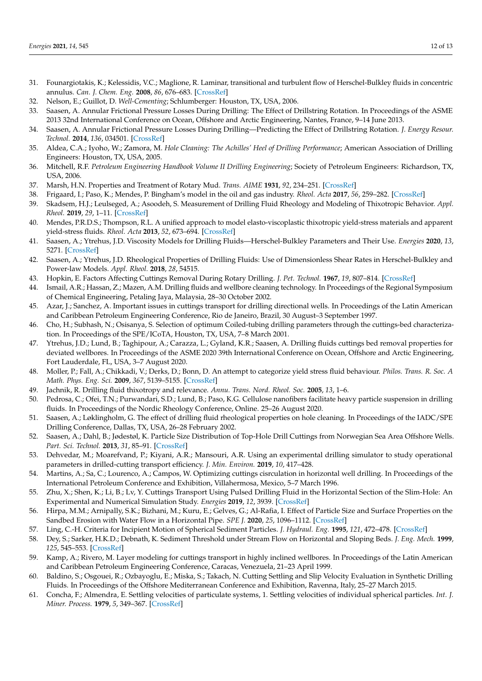- <span id="page-11-0"></span>31. Founargiotakis, K.; Kelessidis, V.C.; Maglione, R. Laminar, transitional and turbulent flow of Herschel-Bulkley fluids in concentric annulus. *Can. J. Chem. Eng.* **2008**, *86*, 676–683. [\[CrossRef\]](http://doi.org/ 10.1002/cjce.20074)
- <span id="page-11-1"></span>32. Nelson, E.; Guillot, D. *Well-Cementing*; Schlumberger: Houston, TX, USA, 2006.
- <span id="page-11-2"></span>33. Saasen, A. Annular Frictional Pressure Losses During Drilling: The Effect of Drillstring Rotation. In Proceedings of the ASME 2013 32nd International Conference on Ocean, Offshore and Arctic Engineering, Nantes, France, 9–14 June 2013.
- <span id="page-11-3"></span>34. Saasen, A. Annular Frictional Pressure Losses During Drilling—Predicting the Effect of Drillstring Rotation. *J. Energy Resour. Technol.* **2014**, *136*, 034501. [\[CrossRef\]](http://doi.org/ 10.1115/1.4026205)
- <span id="page-11-4"></span>35. Aldea, C.A.; Iyoho, W.; Zamora, M. *Hole Cleaning: The Achilles' Heel of Drilling Performance*; American Association of Drilling Engineers: Houston, TX, USA, 2005.
- <span id="page-11-5"></span>36. Mitchell, R.F. *Petroleum Engineering Handbook Volume II Drilling Engineering*; Society of Petroleum Engineers: Richardson, TX, USA, 2006.
- <span id="page-11-6"></span>37. Marsh, H.N. Properties and Treatment of Rotary Mud. *Trans. AIME* **1931**, *92*, 234–251. [\[CrossRef\]](http://doi.org/ 10.2118/931234-G)
- <span id="page-11-7"></span>38. Frigaard, I.; Paso, K.; Mendes, P. Bingham's model in the oil and gas industry. *Rheol. Acta* **2017**, *56*, 259–282. [\[CrossRef\]](http://doi.org/ 10.1007/s00397-017-0999-y)
- <span id="page-11-8"></span>39. Skadsem, H.J.; Leulseged, A.; Asoodeh, S. Measurement of Drilling Fluid Rheology and Modeling of Thixotropic Behavior. *Appl. Rheol.* **2019**, *29*, 1–11. [\[CrossRef\]](http://doi.org/ 10.1515/arh-2019-0001)
- <span id="page-11-9"></span>40. Mendes, P.R.D.S.; Thompson, R.L. A unified approach to model elasto-viscoplastic thixotropic yield-stress materials and apparent yield-stress fluids. *Rheol. Acta* **2013**, *52*, 673–694. [\[CrossRef\]](http://doi.org/ 10.1007/s00397-013-0699-1)
- <span id="page-11-10"></span>41. Saasen, A.; Ytrehus, J.D. Viscosity Models for Drilling Fluids—Herschel-Bulkley Parameters and Their Use. *Energies* **2020**, *13*, 5271. [\[CrossRef\]](http://doi.org/ 10.3390/en13205271)
- <span id="page-11-11"></span>42. Saasen, A.; Ytrehus, J.D. Rheological Properties of Drilling Fluids: Use of Dimensionless Shear Rates in Herschel-Bulkley and Power-law Models. *Appl. Rheol.* **2018**, *28*, 54515.
- <span id="page-11-12"></span>43. Hopkin, E. Factors Affecting Cuttings Removal During Rotary Drilling. *J. Pet. Technol.* **1967**, *19*, 807–814. [\[CrossRef\]](http://doi.org/ 10.2118/1697-PA)
- 44. Ismail, A.R.; Hassan, Z.; Mazen, A.M. Drilling fluids and wellbore cleaning technology. In Proceedings of the Regional Symposium of Chemical Engineering, Petaling Jaya, Malaysia, 28–30 October 2002.
- <span id="page-11-13"></span>45. Azar, J.; Sanchez, A. Important issues in cuttings transport for drilling directional wells. In Proceedings of the Latin American and Caribbean Petroleum Engineering Conference, Rio de Janeiro, Brazil, 30 August–3 September 1997.
- <span id="page-11-14"></span>46. Cho, H.; Subhash, N.; Osisanya, S. Selection of optimum Coiled-tubing drilling parameters through the cuttings-bed characterization. In Proceedings of the SPE/ICoTA, Houston, TX, USA, 7–8 March 2001.
- <span id="page-11-15"></span>47. Ytrehus, J.D.; Lund, B.; Taghipour, A.; Carazza, L.; Gyland, K.R.; Saasen, A. Drilling fluids cuttings bed removal properties for deviated wellbores. In Proceedings of the ASME 2020 39th International Conference on Ocean, Offshore and Arctic Engineering, Fort Lauderdale, FL, USA, 3–7 August 2020.
- <span id="page-11-16"></span>48. Moller, P.; Fall, A.; Chikkadi, V.; Derks, D.; Bonn, D. An attempt to categorize yield stress fluid behaviour. *Philos. Trans. R. Soc. A Math. Phys. Eng. Sci.* **2009**, *367*, 5139–5155. [\[CrossRef\]](http://doi.org/ 10.1098/rsta.2009.0194)
- 49. Jachnik, R. Drilling fluid thixotropy and relevance. *Annu. Trans. Nord. Rheol. Soc.* **2005**, *13*, 1–6.
- <span id="page-11-17"></span>50. Pedrosa, C.; Ofei, T.N.; Purwandari, S.D.; Lund, B.; Paso, K.G. Cellulose nanofibers facilitate heavy particle suspension in drilling fluids. In Proceedings of the Nordic Rheology Conference, Online. 25–26 August 2020.
- <span id="page-11-18"></span>51. Saasen, A.; Løklingholm, G. The effect of drilling fluid rheological properties on hole cleaning. In Proceedings of the IADC/SPE Drilling Conference, Dallas, TX, USA, 26–28 February 2002.
- <span id="page-11-19"></span>52. Saasen, A.; Dahl, B.; Jødestøl, K. Particle Size Distribution of Top-Hole Drill Cuttings from Norwegian Sea Area Offshore Wells. *Part. Sci. Technol.* **2013**, *31*, 85–91. [\[CrossRef\]](http://doi.org/ 10.1080/02726351.2011.648824)
- <span id="page-11-20"></span>53. Dehvedar, M.; Moarefvand, P.; Kiyani, A.R.; Mansouri, A.R. Using an experimental drilling simulator to study operational parameters in drilled-cutting transport efficiency. *J. Min. Environ.* **2019**, *10*, 417–428.
- <span id="page-11-21"></span>54. Martins, A.; Sa, C.; Lourenco, A.; Campos, W. Optimizing cuttings cisrculation in horizontal well drilling. In Proceedings of the International Petroleum Conference and Exhibition, Villahermosa, Mexico, 5–7 March 1996.
- <span id="page-11-22"></span>55. Zhu, X.; Shen, K.; Li, B.; Lv, Y. Cuttings Transport Using Pulsed Drilling Fluid in the Horizontal Section of the Slim-Hole: An Experimental and Numerical Simulation Study. *Energies* **2019**, *12*, 3939. [\[CrossRef\]](http://doi.org/ 10.3390/en12203939)
- <span id="page-11-23"></span>56. Hirpa, M.M.; Arnipally, S.K.; Bizhani, M.; Kuru, E.; Gelves, G.; Al-Rafia, I. Effect of Particle Size and Surface Properties on the Sandbed Erosion with Water Flow in a Horizontal Pipe. *SPE J.* **2020**, *25*, 1096–1112. [\[CrossRef\]](http://doi.org/ 10.2118/199875-PA)
- <span id="page-11-24"></span>57. Ling, C.-H. Criteria for Incipient Motion of Spherical Sediment Particles. *J. Hydraul. Eng.* **1995**, *121*, 472–478. [\[CrossRef\]](http://doi.org/ 10.1061/(ASCE)0733-9429(1995)121:6(472))
- <span id="page-11-28"></span>58. Dey, S.; Sarker, H.K.D.; Debnath, K. Sediment Threshold under Stream Flow on Horizontal and Sloping Beds. *J. Eng. Mech.* **1999**, *125*, 545–553. [\[CrossRef\]](http://doi.org/ 10.1061/(ASCE)0733-9399(1999)125:5(545))
- <span id="page-11-25"></span>59. Kamp, A.; Rivero, M. Layer modeling for cuttings transport in highly inclined wellbores. In Proceedings of the Latin American and Caribbean Petroleum Engineering Conference, Caracas, Venezuela, 21–23 April 1999.
- <span id="page-11-26"></span>60. Baldino, S.; Osgouei, R.; Ozbayoglu, E.; Miska, S.; Takach, N. Cutting Settling and Slip Velocity Evaluation in Synthetic Drilling Fluids. In Proceedings of the Offshore Mediterranean Conference and Exhibition, Ravenna, Italy, 25–27 March 2015.
- <span id="page-11-27"></span>61. Concha, F.; Almendra, E. Settling velocities of particulate systems, 1. Settling velocities of individual spherical particles. *Int. J. Miner. Process.* **1979**, *5*, 349–367. [\[CrossRef\]](http://doi.org/ 10.1016/0301-7516(79)90044-9)